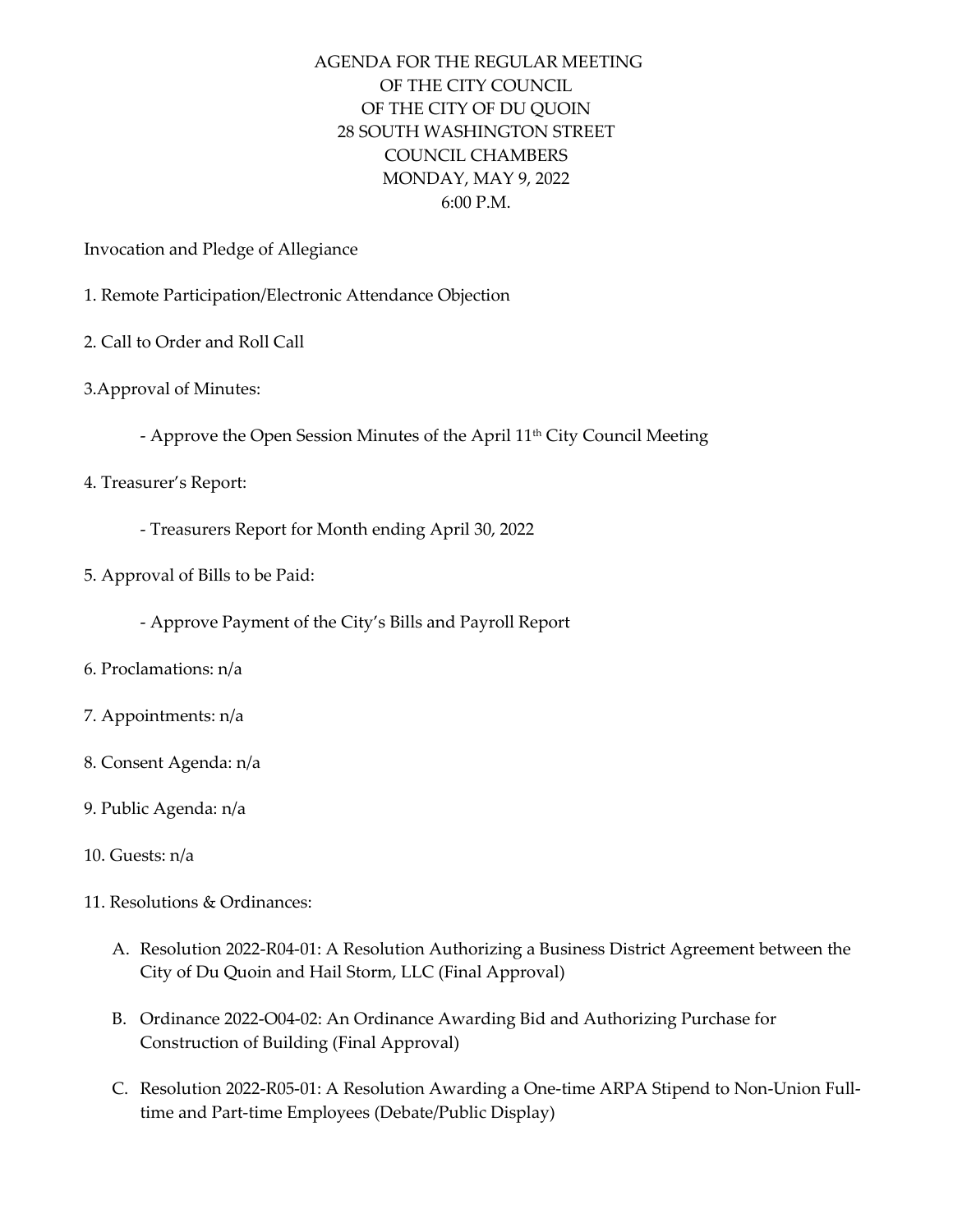## AGENDA FOR THE REGULAR MEETING OF THE CITY COUNCIL OF THE CITY OF DU QUOIN 28 SOUTH WASHINGTON STREET COUNCIL CHAMBERS MONDAY, MAY 9, 2022 6:00 P.M.

Invocation and Pledge of Allegiance

- 1. Remote Participation/Electronic Attendance Objection
- 2. Call to Order and Roll Call
- 3.Approval of Minutes:
	- Approve the Open Session Minutes of the April 11<sup>th</sup> City Council Meeting
- 4. Treasurer's Report:
	- Treasurers Report for Month ending April 30, 2022
- 5. Approval of Bills to be Paid:
	- Approve Payment of the City's Bills and Payroll Report
- 6. Proclamations: n/a
- 7. Appointments: n/a
- 8. Consent Agenda: n/a
- 9. Public Agenda: n/a
- 10. Guests: n/a
- 11. Resolutions & Ordinances:
	- A. Resolution 2022-R04-01: A Resolution Authorizing a Business District Agreement between the City of Du Quoin and Hail Storm, LLC (Final Approval)
	- B. Ordinance 2022-O04-02: An Ordinance Awarding Bid and Authorizing Purchase for Construction of Building (Final Approval)
	- C. Resolution 2022-R05-01: A Resolution Awarding a One-time ARPA Stipend to Non-Union Fulltime and Part-time Employees (Debate/Public Display)